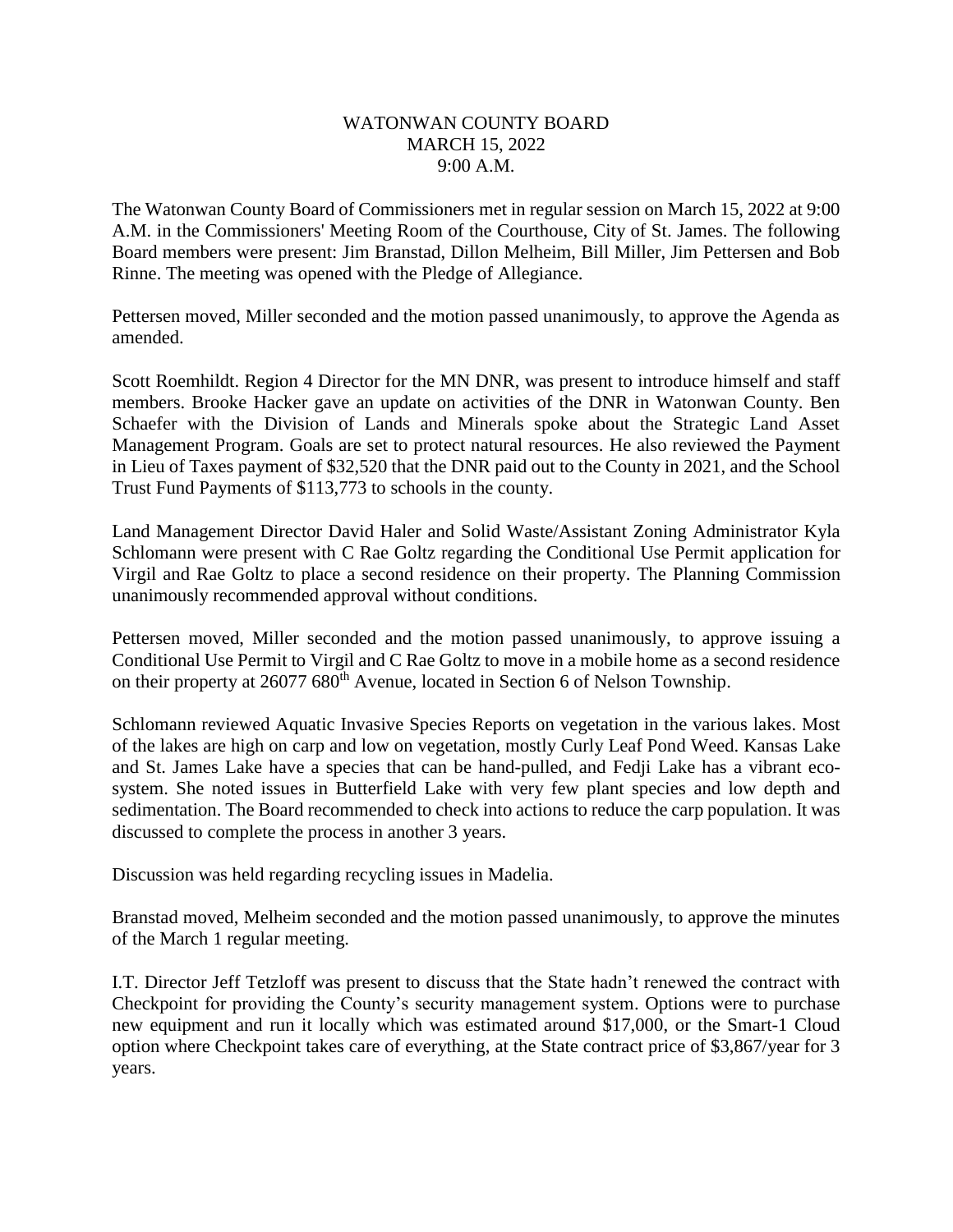## WATONWAN COUNTY BOARD MARCH 15, 2022 9:00 A.M.

The Watonwan County Board of Commissioners met in regular session on March 15, 2022 at 9:00 A.M. in the Commissioners' Meeting Room of the Courthouse, City of St. James. The following Board members were present: Jim Branstad, Dillon Melheim, Bill Miller, Jim Pettersen and Bob Rinne. The meeting was opened with the Pledge of Allegiance.

Pettersen moved, Miller seconded and the motion passed unanimously, to approve the Agenda as amended.

Scott Roemhildt. Region 4 Director for the MN DNR, was present to introduce himself and staff members. Brooke Hacker gave an update on activities of the DNR in Watonwan County. Ben Schaefer with the Division of Lands and Minerals spoke about the Strategic Land Asset Management Program. Goals are set to protect natural resources. He also reviewed the Payment in Lieu of Taxes payment of \$32,520 that the DNR paid out to the County in 2021, and the School Trust Fund Payments of \$113,773 to schools in the county.

Land Management Director David Haler and Solid Waste/Assistant Zoning Administrator Kyla Schlomann were present with C Rae Goltz regarding the Conditional Use Permit application for Virgil and Rae Goltz to place a second residence on their property. The Planning Commission unanimously recommended approval without conditions.

Pettersen moved, Miller seconded and the motion passed unanimously, to approve issuing a Conditional Use Permit to Virgil and C Rae Goltz to move in a mobile home as a second residence on their property at 26077 680<sup>th</sup> Avenue, located in Section 6 of Nelson Township.

Schlomann reviewed Aquatic Invasive Species Reports on vegetation in the various lakes. Most of the lakes are high on carp and low on vegetation, mostly Curly Leaf Pond Weed. Kansas Lake and St. James Lake have a species that can be hand-pulled, and Fedji Lake has a vibrant ecosystem. She noted issues in Butterfield Lake with very few plant species and low depth and sedimentation. The Board recommended to check into actions to reduce the carp population. It was discussed to complete the process in another 3 years.

Discussion was held regarding recycling issues in Madelia.

Branstad moved, Melheim seconded and the motion passed unanimously, to approve the minutes of the March 1 regular meeting.

I.T. Director Jeff Tetzloff was present to discuss that the State hadn't renewed the contract with Checkpoint for providing the County's security management system. Options were to purchase new equipment and run it locally which was estimated around \$17,000, or the Smart-1 Cloud option where Checkpoint takes care of everything, at the State contract price of \$3,867/year for 3 years.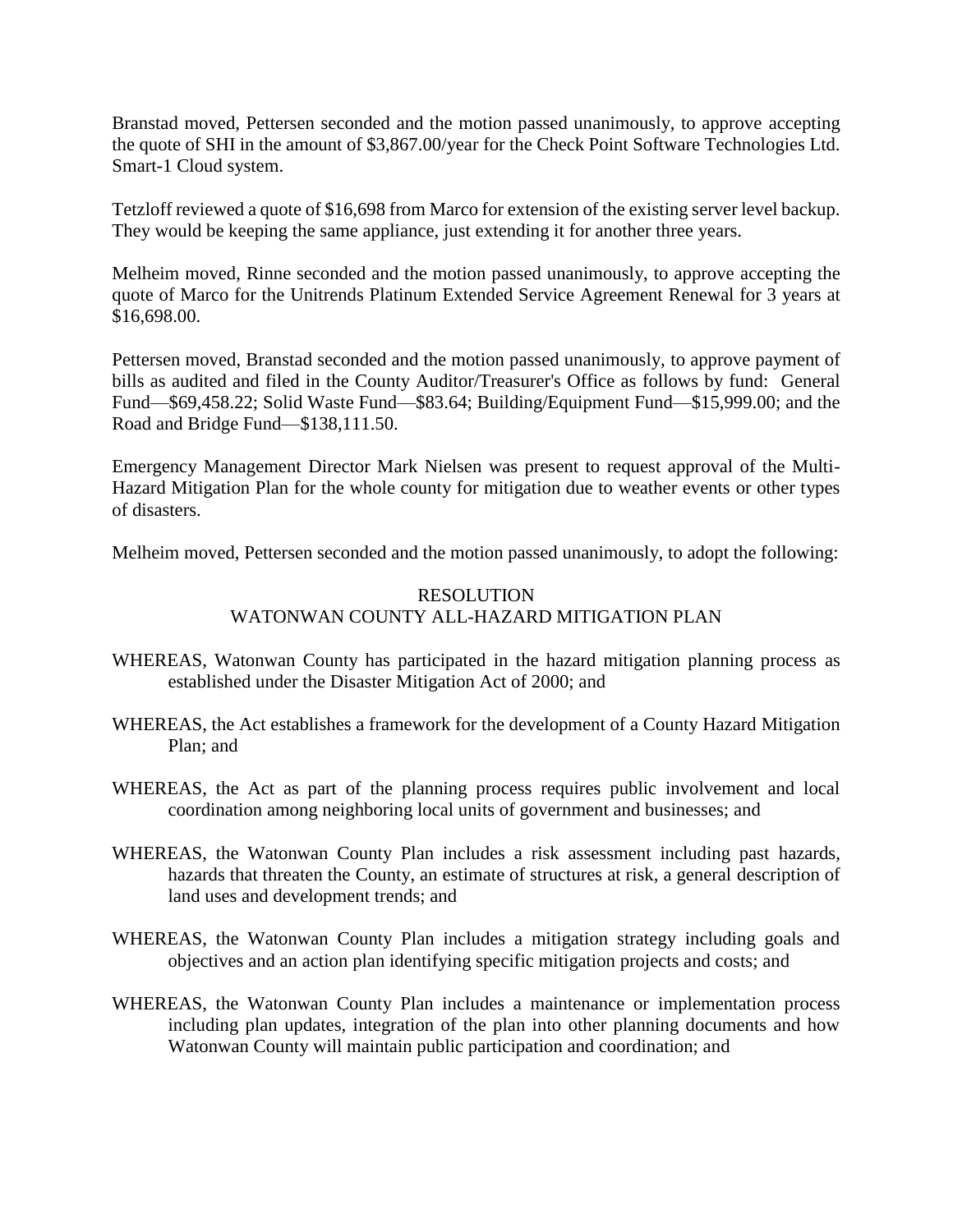Branstad moved, Pettersen seconded and the motion passed unanimously, to approve accepting the quote of SHI in the amount of \$3,867.00/year for the Check Point Software Technologies Ltd. Smart-1 Cloud system.

Tetzloff reviewed a quote of \$16,698 from Marco for extension of the existing server level backup. They would be keeping the same appliance, just extending it for another three years.

Melheim moved, Rinne seconded and the motion passed unanimously, to approve accepting the quote of Marco for the Unitrends Platinum Extended Service Agreement Renewal for 3 years at \$16,698.00.

Pettersen moved, Branstad seconded and the motion passed unanimously, to approve payment of bills as audited and filed in the County Auditor/Treasurer's Office as follows by fund: General Fund—\$69,458.22; Solid Waste Fund—\$83.64; Building/Equipment Fund—\$15,999.00; and the Road and Bridge Fund—\$138,111.50.

Emergency Management Director Mark Nielsen was present to request approval of the Multi-Hazard Mitigation Plan for the whole county for mitigation due to weather events or other types of disasters.

Melheim moved, Pettersen seconded and the motion passed unanimously, to adopt the following:

## RESOLUTION WATONWAN COUNTY ALL-HAZARD MITIGATION PLAN

- WHEREAS, Watonwan County has participated in the hazard mitigation planning process as established under the Disaster Mitigation Act of 2000; and
- WHEREAS, the Act establishes a framework for the development of a County Hazard Mitigation Plan; and
- WHEREAS, the Act as part of the planning process requires public involvement and local coordination among neighboring local units of government and businesses; and
- WHEREAS, the Watonwan County Plan includes a risk assessment including past hazards, hazards that threaten the County, an estimate of structures at risk, a general description of land uses and development trends; and
- WHEREAS, the Watonwan County Plan includes a mitigation strategy including goals and objectives and an action plan identifying specific mitigation projects and costs; and
- WHEREAS, the Watonwan County Plan includes a maintenance or implementation process including plan updates, integration of the plan into other planning documents and how Watonwan County will maintain public participation and coordination; and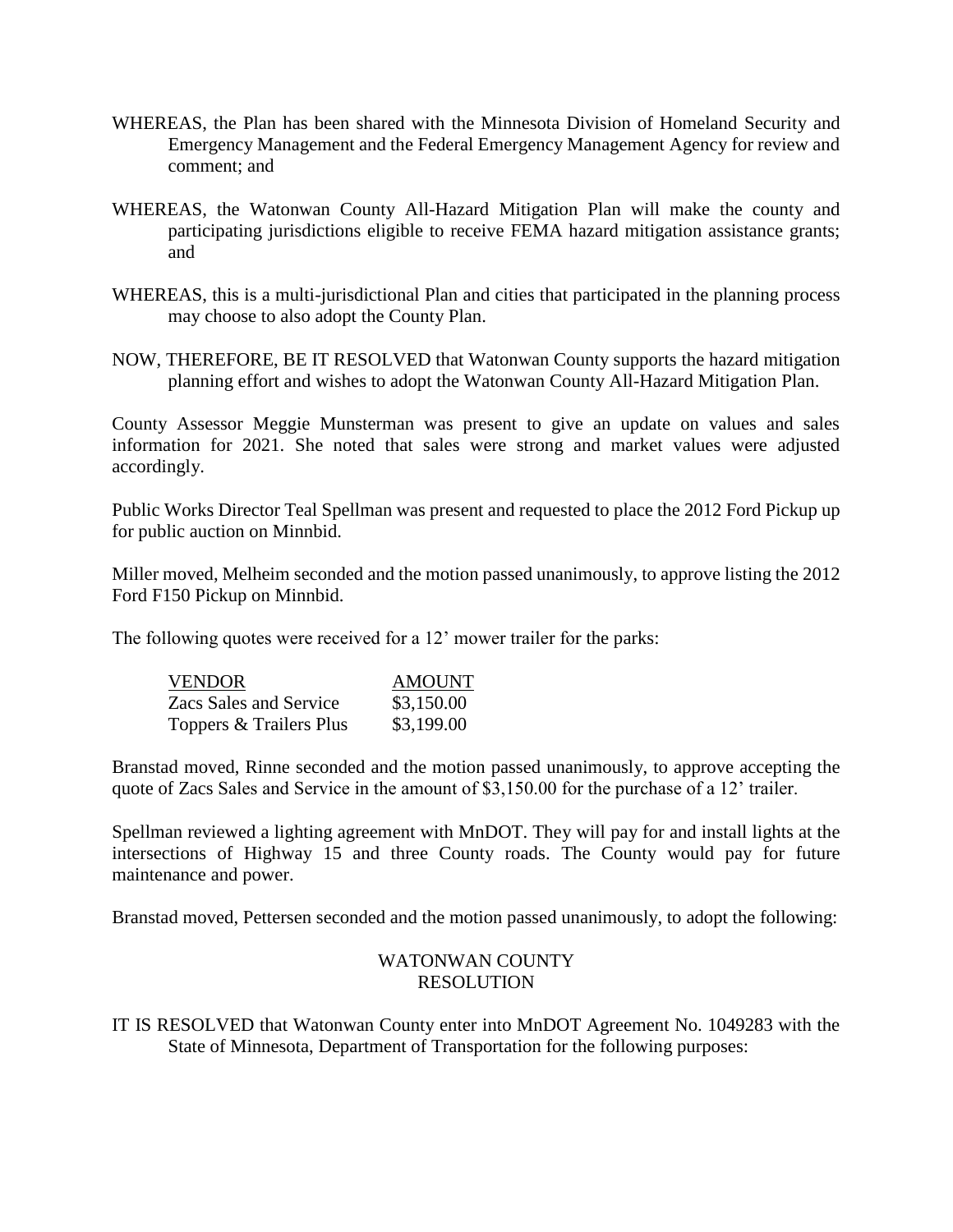- WHEREAS, the Plan has been shared with the Minnesota Division of Homeland Security and Emergency Management and the Federal Emergency Management Agency for review and comment; and
- WHEREAS, the Watonwan County All-Hazard Mitigation Plan will make the county and participating jurisdictions eligible to receive FEMA hazard mitigation assistance grants; and
- WHEREAS, this is a multi-jurisdictional Plan and cities that participated in the planning process may choose to also adopt the County Plan.
- NOW, THEREFORE, BE IT RESOLVED that Watonwan County supports the hazard mitigation planning effort and wishes to adopt the Watonwan County All-Hazard Mitigation Plan.

County Assessor Meggie Munsterman was present to give an update on values and sales information for 2021. She noted that sales were strong and market values were adjusted accordingly.

Public Works Director Teal Spellman was present and requested to place the 2012 Ford Pickup up for public auction on Minnbid.

Miller moved, Melheim seconded and the motion passed unanimously, to approve listing the 2012 Ford F150 Pickup on Minnbid.

The following quotes were received for a 12' mower trailer for the parks:

| <b>VENDOR</b>           | <b>AMOUNT</b> |
|-------------------------|---------------|
| Zacs Sales and Service  | \$3,150.00    |
| Toppers & Trailers Plus | \$3,199.00    |

Branstad moved, Rinne seconded and the motion passed unanimously, to approve accepting the quote of Zacs Sales and Service in the amount of \$3,150.00 for the purchase of a 12' trailer.

Spellman reviewed a lighting agreement with MnDOT. They will pay for and install lights at the intersections of Highway 15 and three County roads. The County would pay for future maintenance and power.

Branstad moved, Pettersen seconded and the motion passed unanimously, to adopt the following:

## WATONWAN COUNTY RESOLUTION

IT IS RESOLVED that Watonwan County enter into MnDOT Agreement No. 1049283 with the State of Minnesota, Department of Transportation for the following purposes: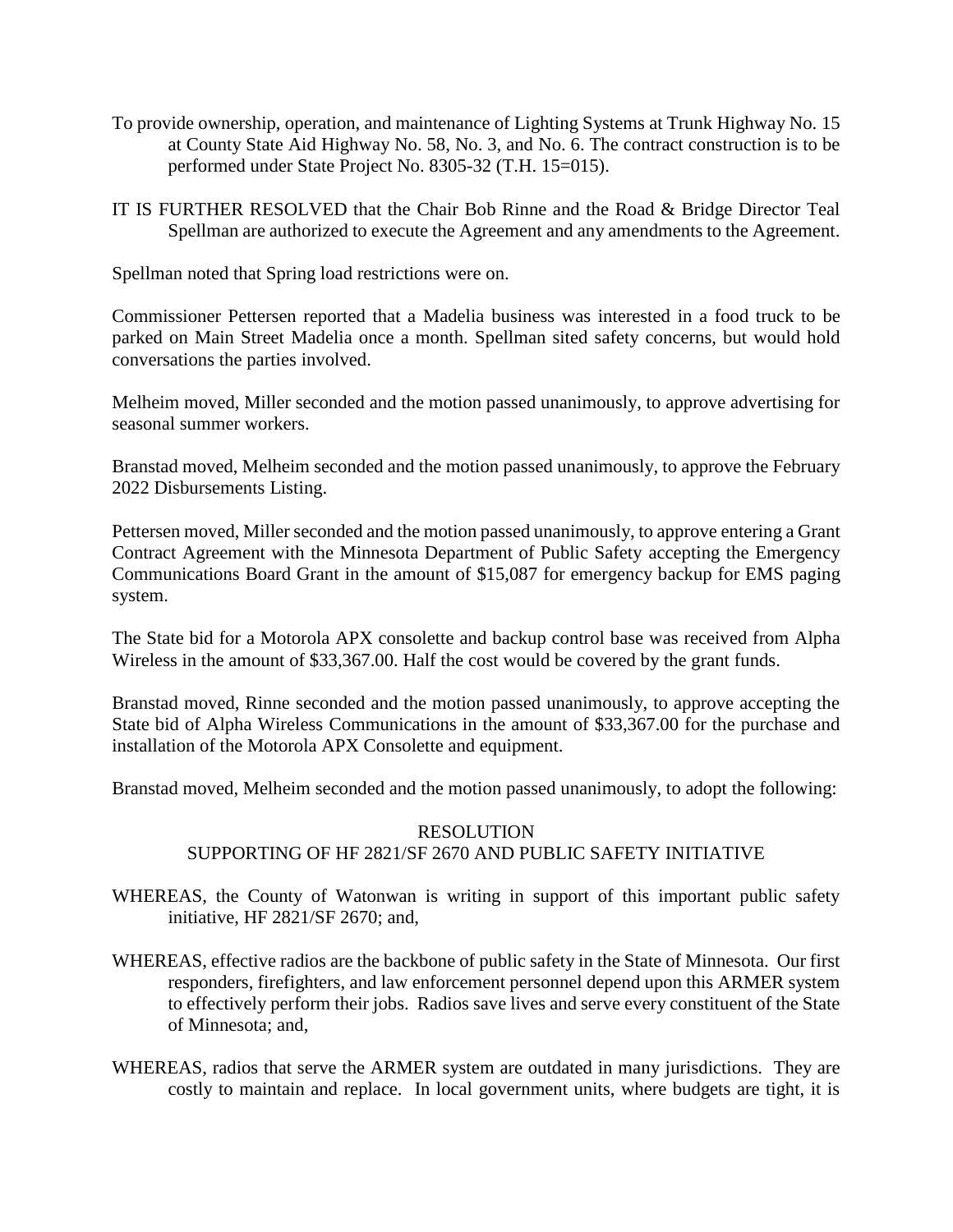- To provide ownership, operation, and maintenance of Lighting Systems at Trunk Highway No. 15 at County State Aid Highway No. 58, No. 3, and No. 6. The contract construction is to be performed under State Project No. 8305-32 (T.H. 15=015).
- IT IS FURTHER RESOLVED that the Chair Bob Rinne and the Road & Bridge Director Teal Spellman are authorized to execute the Agreement and any amendments to the Agreement.

Spellman noted that Spring load restrictions were on.

Commissioner Pettersen reported that a Madelia business was interested in a food truck to be parked on Main Street Madelia once a month. Spellman sited safety concerns, but would hold conversations the parties involved.

Melheim moved, Miller seconded and the motion passed unanimously, to approve advertising for seasonal summer workers.

Branstad moved, Melheim seconded and the motion passed unanimously, to approve the February 2022 Disbursements Listing.

Pettersen moved, Miller seconded and the motion passed unanimously, to approve entering a Grant Contract Agreement with the Minnesota Department of Public Safety accepting the Emergency Communications Board Grant in the amount of \$15,087 for emergency backup for EMS paging system.

The State bid for a Motorola APX consolette and backup control base was received from Alpha Wireless in the amount of \$33,367.00. Half the cost would be covered by the grant funds.

Branstad moved, Rinne seconded and the motion passed unanimously, to approve accepting the State bid of Alpha Wireless Communications in the amount of \$33,367.00 for the purchase and installation of the Motorola APX Consolette and equipment.

Branstad moved, Melheim seconded and the motion passed unanimously, to adopt the following:

## RESOLUTION SUPPORTING OF HF 2821/SF 2670 AND PUBLIC SAFETY INITIATIVE

- WHEREAS, the County of Watonwan is writing in support of this important public safety initiative, HF 2821/SF 2670; and,
- WHEREAS, effective radios are the backbone of public safety in the State of Minnesota. Our first responders, firefighters, and law enforcement personnel depend upon this ARMER system to effectively perform their jobs. Radios save lives and serve every constituent of the State of Minnesota; and,
- WHEREAS, radios that serve the ARMER system are outdated in many jurisdictions. They are costly to maintain and replace. In local government units, where budgets are tight, it is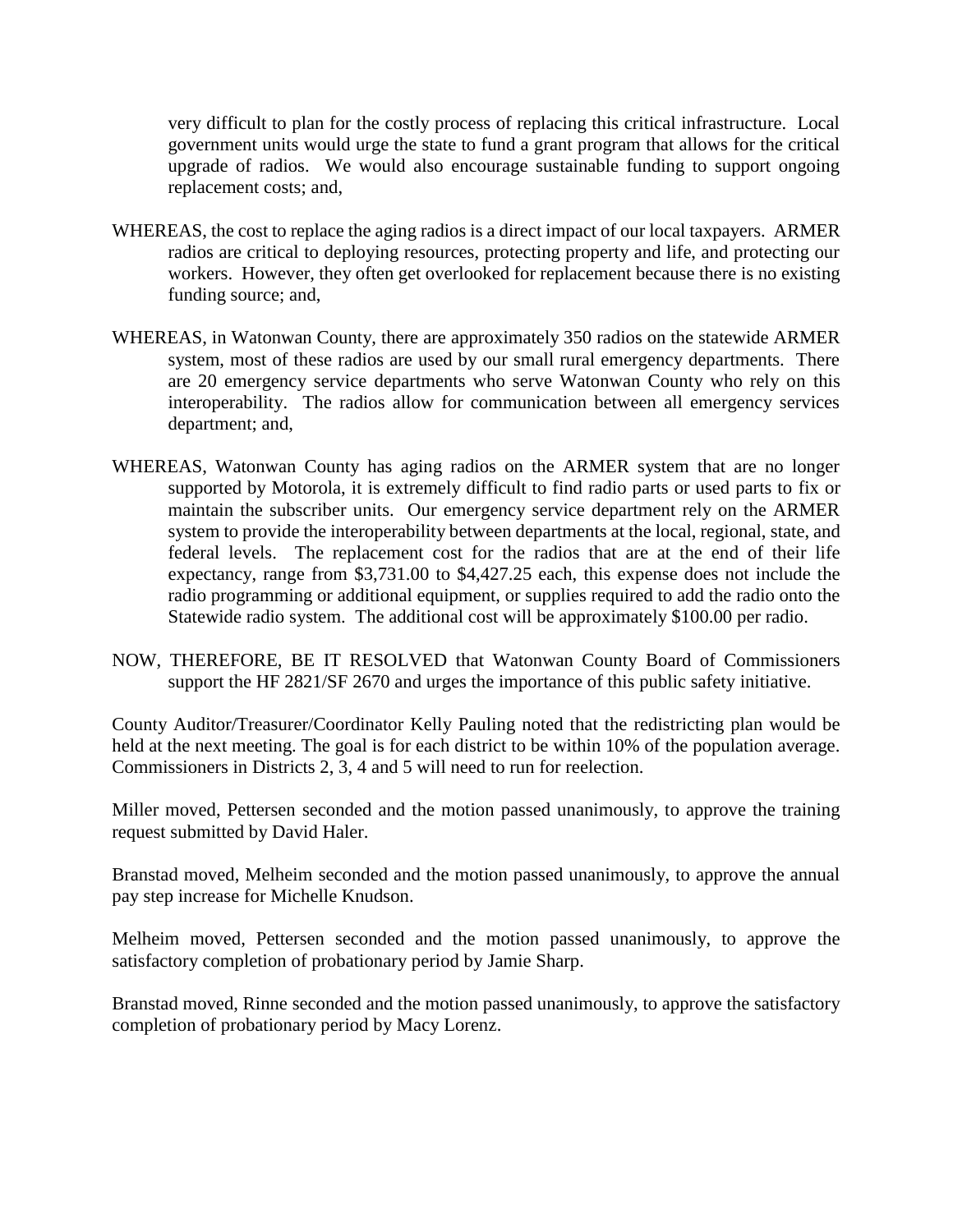very difficult to plan for the costly process of replacing this critical infrastructure. Local government units would urge the state to fund a grant program that allows for the critical upgrade of radios. We would also encourage sustainable funding to support ongoing replacement costs; and,

- WHEREAS, the cost to replace the aging radios is a direct impact of our local taxpayers. ARMER radios are critical to deploying resources, protecting property and life, and protecting our workers. However, they often get overlooked for replacement because there is no existing funding source; and,
- WHEREAS, in Watonwan County, there are approximately 350 radios on the statewide ARMER system, most of these radios are used by our small rural emergency departments. There are 20 emergency service departments who serve Watonwan County who rely on this interoperability. The radios allow for communication between all emergency services department; and,
- WHEREAS, Watonwan County has aging radios on the ARMER system that are no longer supported by Motorola, it is extremely difficult to find radio parts or used parts to fix or maintain the subscriber units. Our emergency service department rely on the ARMER system to provide the interoperability between departments at the local, regional, state, and federal levels. The replacement cost for the radios that are at the end of their life expectancy, range from \$3,731.00 to \$4,427.25 each, this expense does not include the radio programming or additional equipment, or supplies required to add the radio onto the Statewide radio system. The additional cost will be approximately \$100.00 per radio.
- NOW, THEREFORE, BE IT RESOLVED that Watonwan County Board of Commissioners support the HF 2821/SF 2670 and urges the importance of this public safety initiative.

County Auditor/Treasurer/Coordinator Kelly Pauling noted that the redistricting plan would be held at the next meeting. The goal is for each district to be within 10% of the population average. Commissioners in Districts 2, 3, 4 and 5 will need to run for reelection.

Miller moved, Pettersen seconded and the motion passed unanimously, to approve the training request submitted by David Haler.

Branstad moved, Melheim seconded and the motion passed unanimously, to approve the annual pay step increase for Michelle Knudson.

Melheim moved, Pettersen seconded and the motion passed unanimously, to approve the satisfactory completion of probationary period by Jamie Sharp.

Branstad moved, Rinne seconded and the motion passed unanimously, to approve the satisfactory completion of probationary period by Macy Lorenz.